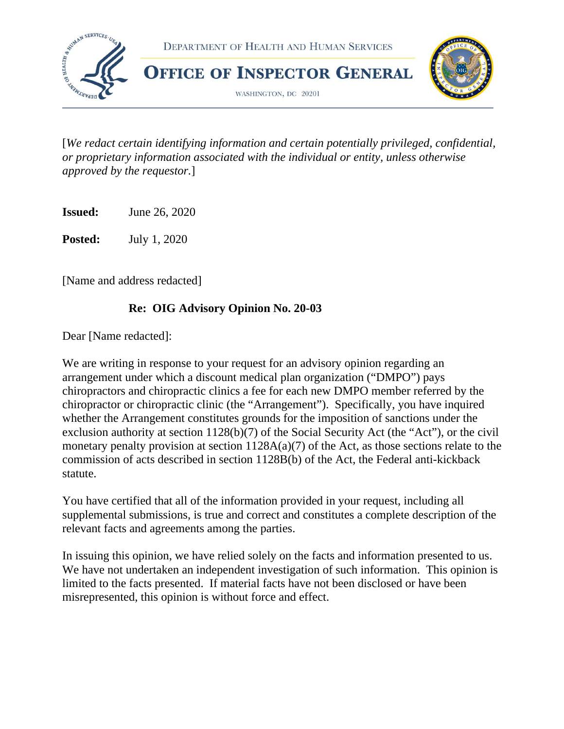

[*We redact certain identifying information and certain potentially privileged, confidential, or proprietary information associated with the individual or entity, unless otherwise approved by the requestor.*]

**Issued:** June 26, 2020

**Posted:** July 1, 2020

[Name and address redacted]

#### **Re: OIG Advisory Opinion No. 20-03**

Dear [Name redacted]:

We are writing in response to your request for an advisory opinion regarding an arrangement under which a discount medical plan organization ("DMPO") pays chiropractors and chiropractic clinics a fee for each new DMPO member referred by the chiropractor or chiropractic clinic (the "Arrangement"). Specifically, you have inquired whether the Arrangement constitutes grounds for the imposition of sanctions under the exclusion authority at section 1128(b)(7) of the Social Security Act (the "Act"), or the civil monetary penalty provision at section 1128A(a)(7) of the Act, as those sections relate to the commission of acts described in section 1128B(b) of the Act, the Federal anti-kickback statute.

You have certified that all of the information provided in your request, including all supplemental submissions, is true and correct and constitutes a complete description of the relevant facts and agreements among the parties.

In issuing this opinion, we have relied solely on the facts and information presented to us. We have not undertaken an independent investigation of such information. This opinion is limited to the facts presented. If material facts have not been disclosed or have been misrepresented, this opinion is without force and effect.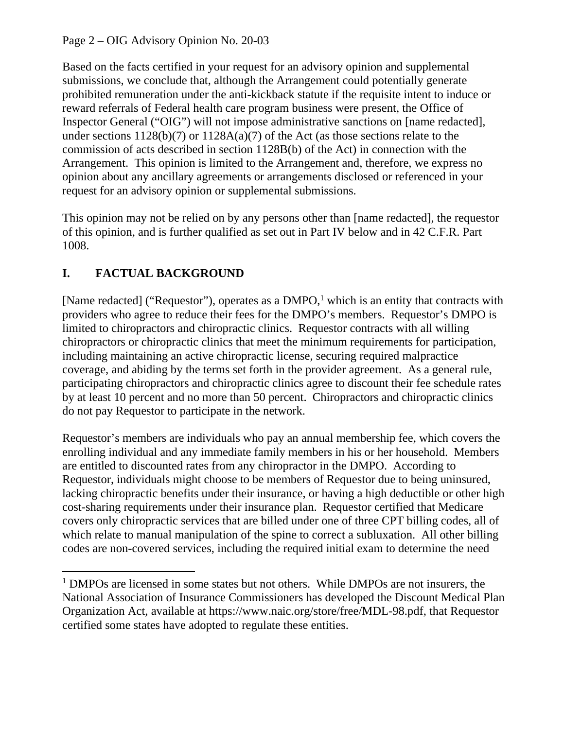Page 2 – OIG Advisory Opinion No. 20-03

Based on the facts certified in your request for an advisory opinion and supplemental submissions, we conclude that, although the Arrangement could potentially generate prohibited remuneration under the anti-kickback statute if the requisite intent to induce or reward referrals of Federal health care program business were present, the Office of Inspector General ("OIG") will not impose administrative sanctions on [name redacted], under sections 1128(b)(7) or 1128A(a)(7) of the Act (as those sections relate to the commission of acts described in section 1128B(b) of the Act) in connection with the Arrangement. This opinion is limited to the Arrangement and, therefore, we express no opinion about any ancillary agreements or arrangements disclosed or referenced in your request for an advisory opinion or supplemental submissions.

This opinion may not be relied on by any persons other than [name redacted], the requestor of this opinion, and is further qualified as set out in Part IV below and in 42 C.F.R. Part 1008.

# **I. FACTUAL BACKGROUND**

[Name redacted] ("Requestor"), operates as a  $DMPO<sup>1</sup>$ , which is an entity that contracts with providers who agree to reduce their fees for the DMPO's members. Requestor's DMPO is limited to chiropractors and chiropractic clinics. Requestor contracts with all willing chiropractors or chiropractic clinics that meet the minimum requirements for participation, including maintaining an active chiropractic license, securing required malpractice coverage, and abiding by the terms set forth in the provider agreement. As a general rule, participating chiropractors and chiropractic clinics agree to discount their fee schedule rates by at least 10 percent and no more than 50 percent. Chiropractors and chiropractic clinics do not pay Requestor to participate in the network.

Requestor's members are individuals who pay an annual membership fee, which covers the enrolling individual and any immediate family members in his or her household. Members are entitled to discounted rates from any chiropractor in the DMPO. According to Requestor, individuals might choose to be members of Requestor due to being uninsured, lacking chiropractic benefits under their insurance, or having a high deductible or other high cost-sharing requirements under their insurance plan. Requestor certified that Medicare covers only chiropractic services that are billed under one of three CPT billing codes, all of which relate to manual manipulation of the spine to correct a subluxation. All other billing codes are non-covered services, including the required initial exam to determine the need

<sup>&</sup>lt;sup>1</sup> DMPOs are licensed in some states but not others. While DMPOs are not insurers, the National Association of Insurance Commissioners has developed the Discount Medical Plan Organization Act, available at https://www.naic.org/store/free/MDL-98.pdf, that Requestor certified some states have adopted to regulate these entities.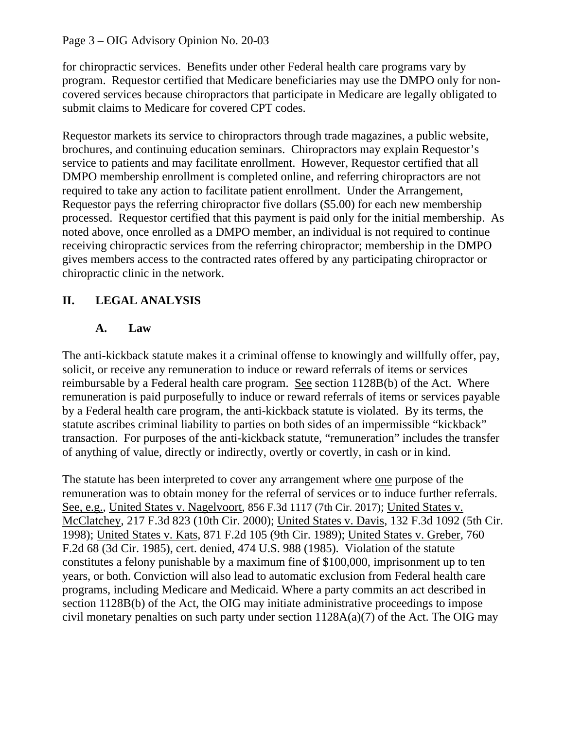#### Page 3 – OIG Advisory Opinion No. 20-03

for chiropractic services. Benefits under other Federal health care programs vary by program. Requestor certified that Medicare beneficiaries may use the DMPO only for noncovered services because chiropractors that participate in Medicare are legally obligated to submit claims to Medicare for covered CPT codes.

Requestor markets its service to chiropractors through trade magazines, a public website, brochures, and continuing education seminars. Chiropractors may explain Requestor's service to patients and may facilitate enrollment. However, Requestor certified that all DMPO membership enrollment is completed online, and referring chiropractors are not required to take any action to facilitate patient enrollment. Under the Arrangement, Requestor pays the referring chiropractor five dollars (\$5.00) for each new membership processed. Requestor certified that this payment is paid only for the initial membership. As noted above, once enrolled as a DMPO member, an individual is not required to continue receiving chiropractic services from the referring chiropractor; membership in the DMPO gives members access to the contracted rates offered by any participating chiropractor or chiropractic clinic in the network.

### **II. LEGAL ANALYSIS**

#### **A. Law**

The anti-kickback statute makes it a criminal offense to knowingly and willfully offer, pay, solicit, or receive any remuneration to induce or reward referrals of items or services reimbursable by a Federal health care program. See section 1128B(b) of the Act. Where remuneration is paid purposefully to induce or reward referrals of items or services payable by a Federal health care program, the anti-kickback statute is violated. By its terms, the statute ascribes criminal liability to parties on both sides of an impermissible "kickback" transaction. For purposes of the anti-kickback statute, "remuneration" includes the transfer of anything of value, directly or indirectly, overtly or covertly, in cash or in kind.

The statute has been interpreted to cover any arrangement where one purpose of the remuneration was to obtain money for the referral of services or to induce further referrals. See, e.g., United States v. Nagelvoort, 856 F.3d 1117 (7th Cir. 2017); United States v. McClatchey, 217 F.3d 823 (10th Cir. 2000); United States v. Davis, 132 F.3d 1092 (5th Cir. 1998); United States v. Kats, 871 F.2d 105 (9th Cir. 1989); United States v. Greber, 760 F.2d 68 (3d Cir. 1985), cert. denied, 474 U.S. 988 (1985). Violation of the statute constitutes a felony punishable by a maximum fine of \$100,000, imprisonment up to ten years, or both. Conviction will also lead to automatic exclusion from Federal health care programs, including Medicare and Medicaid. Where a party commits an act described in section 1128B(b) of the Act, the OIG may initiate administrative proceedings to impose civil monetary penalties on such party under section  $1128A(a)(7)$  of the Act. The OIG may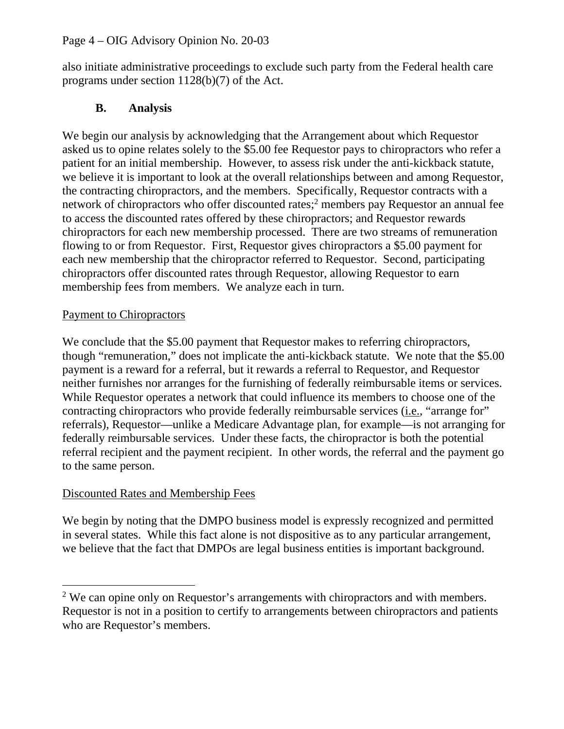#### Page 4 – OIG Advisory Opinion No. 20-03

also initiate administrative proceedings to exclude such party from the Federal health care programs under section 1128(b)(7) of the Act.

#### **B. Analysis**

We begin our analysis by acknowledging that the Arrangement about which Requestor asked us to opine relates solely to the \$5.00 fee Requestor pays to chiropractors who refer a patient for an initial membership. However, to assess risk under the anti-kickback statute, we believe it is important to look at the overall relationships between and among Requestor, the contracting chiropractors, and the members. Specifically, Requestor contracts with a network of chiropractors who offer discounted rates;<sup>2</sup> members pay Requestor an annual fee to access the discounted rates offered by these chiropractors; and Requestor rewards chiropractors for each new membership processed. There are two streams of remuneration flowing to or from Requestor. First, Requestor gives chiropractors a \$5.00 payment for each new membership that the chiropractor referred to Requestor. Second, participating chiropractors offer discounted rates through Requestor, allowing Requestor to earn membership fees from members. We analyze each in turn.

#### Payment to Chiropractors

We conclude that the \$5.00 payment that Requestor makes to referring chiropractors, though "remuneration," does not implicate the anti-kickback statute. We note that the \$5.00 payment is a reward for a referral, but it rewards a referral to Requestor, and Requestor neither furnishes nor arranges for the furnishing of federally reimbursable items or services. While Requestor operates a network that could influence its members to choose one of the contracting chiropractors who provide federally reimbursable services (i.e., "arrange for" referrals), Requestor—unlike a Medicare Advantage plan, for example—is not arranging for federally reimbursable services. Under these facts, the chiropractor is both the potential referral recipient and the payment recipient. In other words, the referral and the payment go to the same person.

#### Discounted Rates and Membership Fees

We begin by noting that the DMPO business model is expressly recognized and permitted in several states. While this fact alone is not dispositive as to any particular arrangement, we believe that the fact that DMPOs are legal business entities is important background.

<sup>&</sup>lt;sup>2</sup> We can opine only on Requestor's arrangements with chiropractors and with members. Requestor is not in a position to certify to arrangements between chiropractors and patients who are Requestor's members.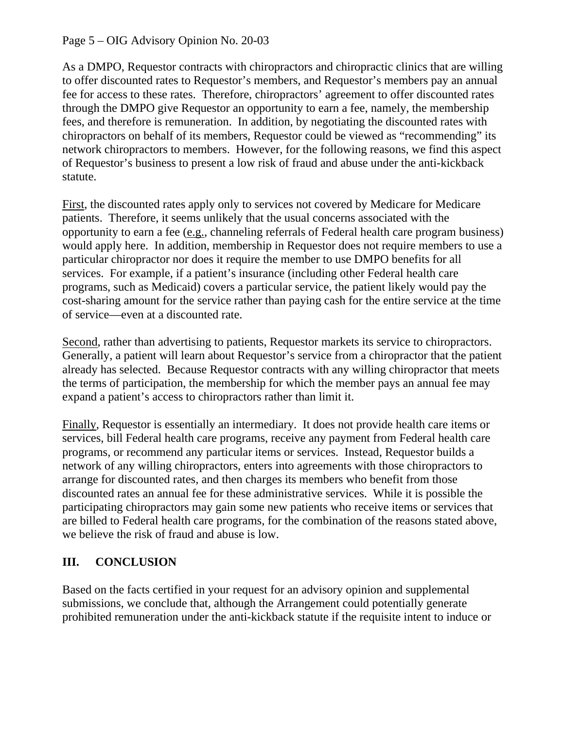#### Page 5 – OIG Advisory Opinion No. 20-03

As a DMPO, Requestor contracts with chiropractors and chiropractic clinics that are willing to offer discounted rates to Requestor's members, and Requestor's members pay an annual fee for access to these rates. Therefore, chiropractors' agreement to offer discounted rates through the DMPO give Requestor an opportunity to earn a fee, namely, the membership fees, and therefore is remuneration. In addition, by negotiating the discounted rates with chiropractors on behalf of its members, Requestor could be viewed as "recommending" its network chiropractors to members. However, for the following reasons, we find this aspect of Requestor's business to present a low risk of fraud and abuse under the anti-kickback statute.

First, the discounted rates apply only to services not covered by Medicare for Medicare patients. Therefore, it seems unlikely that the usual concerns associated with the opportunity to earn a fee (e.g., channeling referrals of Federal health care program business) would apply here. In addition, membership in Requestor does not require members to use a particular chiropractor nor does it require the member to use DMPO benefits for all services. For example, if a patient's insurance (including other Federal health care programs, such as Medicaid) covers a particular service, the patient likely would pay the cost-sharing amount for the service rather than paying cash for the entire service at the time of service—even at a discounted rate.

Second, rather than advertising to patients, Requestor markets its service to chiropractors. Generally, a patient will learn about Requestor's service from a chiropractor that the patient already has selected. Because Requestor contracts with any willing chiropractor that meets the terms of participation, the membership for which the member pays an annual fee may expand a patient's access to chiropractors rather than limit it.

Finally, Requestor is essentially an intermediary. It does not provide health care items or services, bill Federal health care programs, receive any payment from Federal health care programs, or recommend any particular items or services. Instead, Requestor builds a network of any willing chiropractors, enters into agreements with those chiropractors to arrange for discounted rates, and then charges its members who benefit from those discounted rates an annual fee for these administrative services. While it is possible the participating chiropractors may gain some new patients who receive items or services that are billed to Federal health care programs, for the combination of the reasons stated above, we believe the risk of fraud and abuse is low.

# **III. CONCLUSION**

Based on the facts certified in your request for an advisory opinion and supplemental submissions, we conclude that, although the Arrangement could potentially generate prohibited remuneration under the anti-kickback statute if the requisite intent to induce or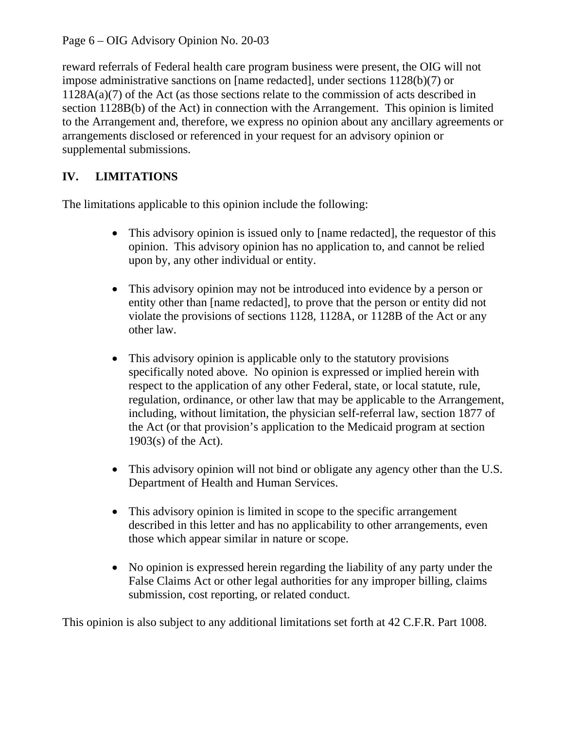Page 6 – OIG Advisory Opinion No. 20-03

reward referrals of Federal health care program business were present, the OIG will not impose administrative sanctions on [name redacted], under sections 1128(b)(7) or 1128A(a)(7) of the Act (as those sections relate to the commission of acts described in section 1128B(b) of the Act) in connection with the Arrangement. This opinion is limited to the Arrangement and, therefore, we express no opinion about any ancillary agreements or arrangements disclosed or referenced in your request for an advisory opinion or supplemental submissions.

# **IV. LIMITATIONS**

The limitations applicable to this opinion include the following:

- This advisory opinion is issued only to [name redacted], the requestor of this opinion. This advisory opinion has no application to, and cannot be relied upon by, any other individual or entity.
- This advisory opinion may not be introduced into evidence by a person or entity other than [name redacted], to prove that the person or entity did not violate the provisions of sections 1128, 1128A, or 1128B of the Act or any other law.
- This advisory opinion is applicable only to the statutory provisions specifically noted above. No opinion is expressed or implied herein with respect to the application of any other Federal, state, or local statute, rule, regulation, ordinance, or other law that may be applicable to the Arrangement, including, without limitation, the physician self-referral law, section 1877 of the Act (or that provision's application to the Medicaid program at section 1903(s) of the Act).
- This advisory opinion will not bind or obligate any agency other than the U.S. Department of Health and Human Services.
- This advisory opinion is limited in scope to the specific arrangement described in this letter and has no applicability to other arrangements, even those which appear similar in nature or scope.
- No opinion is expressed herein regarding the liability of any party under the False Claims Act or other legal authorities for any improper billing, claims submission, cost reporting, or related conduct.

This opinion is also subject to any additional limitations set forth at 42 C.F.R. Part 1008.